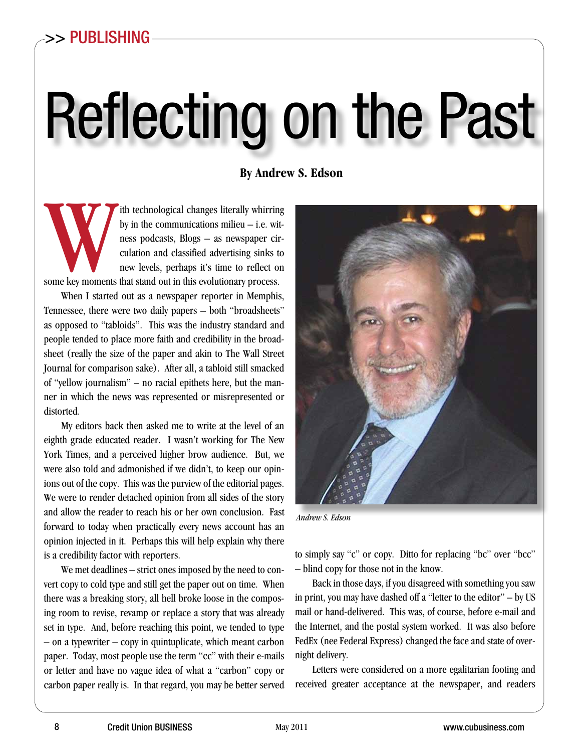# Reflecting on the Past

**By Andrew S. Edson**

ith technological changes literally whirring<br>by in the communications milieu – i.e. wit-<br>ness podcasts, Blogs – as newspaper cir-<br>culation and classified advertising sinks to<br>new levels, perhaps it's time to reflect on<br>som by in the communications milieu – i.e. witness podcasts, Blogs – as newspaper circulation and classified advertising sinks to new levels, perhaps it's time to reflect on some key moments that stand out in this evolutionary process.

When I started out as a newspaper reporter in Memphis, Tennessee, there were two daily papers – both "broadsheets" as opposed to "tabloids". This was the industry standard and people tended to place more faith and credibility in the broadsheet (really the size of the paper and akin to The Wall Street Journal for comparison sake). After all, a tabloid still smacked of "yellow journalism" – no racial epithets here, but the manner in which the news was represented or misrepresented or distorted.

My editors back then asked me to write at the level of an eighth grade educated reader. I wasn't working for The New York Times, and a perceived higher brow audience. But, we were also told and admonished if we didn't, to keep our opinions out of the copy. This was the purview of the editorial pages. We were to render detached opinion from all sides of the story and allow the reader to reach his or her own conclusion. Fast forward to today when practically every news account has an opinion injected in it. Perhaps this will help explain why there is a credibility factor with reporters.

We met deadlines – strict ones imposed by the need to convert copy to cold type and still get the paper out on time. When there was a breaking story, all hell broke loose in the composing room to revise, revamp or replace a story that was already set in type. And, before reaching this point, we tended to type – on a typewriter – copy in quintuplicate, which meant carbon paper. Today, most people use the term "cc" with their e-mails or letter and have no vague idea of what a "carbon" copy or carbon paper really is. In that regard, you may be better served



*Andrew S. Edson*

to simply say "c" or copy. Ditto for replacing "bc" over "bcc" – blind copy for those not in the know.

Back in those days, if you disagreed with something you saw in print, you may have dashed off a "letter to the editor" – by US mail or hand-delivered. This was, of course, before e-mail and the Internet, and the postal system worked. It was also before FedEx (nee Federal Express) changed the face and state of overnight delivery.

Letters were considered on a more egalitarian footing and received greater acceptance at the newspaper, and readers